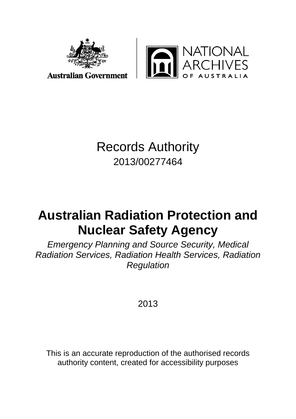

JATIONAL<br>\RCHIVES

**Australian Government** 

## Records Authority 2013/00277464

# **Australian Radiation Protection and Nuclear Safety Agency**

*Emergency Planning and Source Security, Medical Radiation Services, Radiation Health Services, Radiation Regulation* 

2013

This is an accurate reproduction of the authorised records authority content, created for accessibility purposes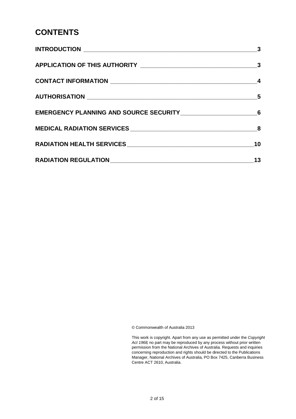#### **CONTENTS**

| $\overline{\mathbf{3}}$    |
|----------------------------|
|                            |
|                            |
| $\overline{\phantom{0}}$ 5 |
|                            |
|                            |
| 10                         |
| 13                         |

© Commonwealth of Australia 2013

This work is copyright. Apart from any use as permitted under the *Copyright Act 1968,* no part may be reproduced by any process without prior written permission from the National Archives of Australia. Requests and inquiries concerning reproduction and rights should be directed to the Publications Manager, National Archives of Australia, PO Box 7425, Canberra Business Centre ACT 2610, Australia.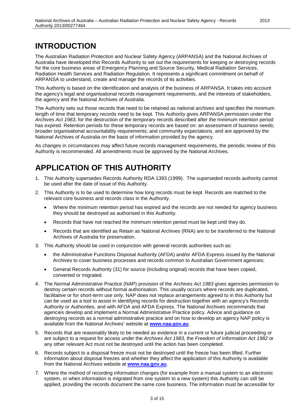#### <span id="page-2-0"></span>**INTRODUCTION**

The Australian Radiation Protection and Nuclear Safety Agency (ARPANSA) and the National Archives of Australia have developed this Records Authority to set out the requirements for keeping or destroying records for the core business areas of Emergency Planning and Source Security, Medical Radiation Services, Radiation Health Services and Radiation Regulation. It represents a significant commitment on behalf of ARPANSA to understand, create and manage the records of its activities.

This Authority is based on the identification and analysis of the business of ARPANSA. It takes into account the agency's legal and organisational records management requirements, and the interests of stakeholders, the agency and the National Archives of Australia.

The Authority sets out those records that need to be retained as national archives and specifies the minimum length of time that temporary records need to be kept. This Authority gives ARPANSA permission under the *Archives Act 1983*, for the destruction of the temporary records described after the minimum retention period has expired. Retention periods for these temporary records are based on: an assessment of business needs; broader organisational accountability requirements; and community expectations, and are approved by the National Archives of Australia on the basis of information provided by the agency.

As changes in circumstances may affect future records management requirements, the periodic review of this Authority is recommended. All amendments must be approved by the National Archives.

#### <span id="page-2-1"></span>**APPLICATION OF THIS AUTHORITY**

- 1. This Authority supersedes Records Authority RDA 1393 (1999). The superseded records authority cannot be used after the date of issue of this Authority.
- 2. This Authority is to be used to determine how long records must be kept. Records are matched to the relevant core business and records class in the Authority.
	- Where the minimum retention period has expired and the records are not needed for agency business they should be destroyed as authorised in this Authority.
	- Records that have not reached the minimum retention period must be kept until they do.
	- Records that are identified as Retain as National Archives (RNA) are to be transferred to the National Archives of Australia for preservation.
- 3. This Authority should be used in conjunction with general records authorities such as:
	- the Administrative Functions Disposal Authority (AFDA) and/or AFDA Express issued by the National Archives to cover business processes and records common to Australian Government agencies;
	- General Records Authority (31) for source (including original) records that have been copied, converted or migrated.
- 4. The Normal Administrative Practice (NAP) provision of the *Archives Act 1983* gives agencies permission to destroy certain records without formal authorisation. This usually occurs where records are duplicated, facilitative or for short-term use only. NAP does not replace arrangements agreed to in this Authority but can be used as a tool to assist in identifying records for destruction together with an agency's Records Authority or Authorities, and with AFDA and AFDA Express. The National Archives recommends that agencies develop and implement a Normal Administrative Practice policy. Advice and guidance on destroying records as a normal administrative practice and on how to develop an agency NAP policy is available from the National Archives' website at **[www.naa.gov.au](http://www.naa.gov.au/)**.
- 5. Records that are reasonably likely to be needed as evidence in a current or future judicial proceeding or are subject to a request for access under the *Archives Act 1983,* the *Freedom of Information Act 1982* or any other relevant Act must not be destroyed until the action has been completed.
- 6. Records subject to a disposal freeze must not be destroyed until the freeze has been lifted. Further information about disposal freezes and whether they affect the application of this Authority is available from the National Archives website at **[www.naa.gov.au](http://www.naa.gov.au/)**.
- 7. Where the method of recording information changes (for example from a manual system to an electronic system, or when information is migrated from one system to a new system) this Authority can still be applied, providing the records document the same core business. The information must be accessible for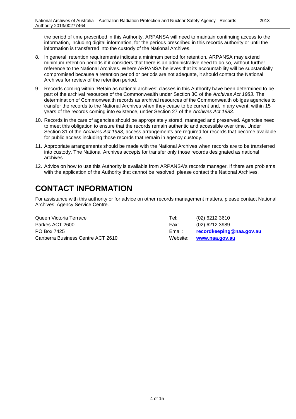the period of time prescribed in this Authority. ARPANSA will need to maintain continuing access to the information, including digital information, for the periods prescribed in this records authority or until the information is transferred into the custody of the National Archives.

- 8. In general, retention requirements indicate a minimum period for retention. ARPANSA may extend minimum retention periods if it considers that there is an administrative need to do so, without further reference to the National Archives. Where ARPANSA believes that its accountability will be substantially compromised because a retention period or periods are not adequate, it should contact the National Archives for review of the retention period.
- 9. Records coming within 'Retain as national archives' classes in this Authority have been determined to be part of the archival resources of the Commonwealth under Section 3C of the *Archives Act 1983*. The determination of Commonwealth records as archival resources of the Commonwealth obliges agencies to transfer the records to the National Archives when they cease to be current and, in any event, within 15 years of the records coming into existence, under Section 27 of the *Archives Act 1983*.
- 10. Records in the care of agencies should be appropriately stored, managed and preserved. Agencies need to meet this obligation to ensure that the records remain authentic and accessible over time. Under Section 31 of the *Archives Act 1983*, access arrangements are required for records that become available for public access including those records that remain in agency custody.
- 11. Appropriate arrangements should be made with the National Archives when records are to be transferred into custody. The National Archives accepts for transfer only those records designated as national archives.
- 12. Advice on how to use this Authority is available from ARPANSA's records manager. If there are problems with the application of the Authority that cannot be resolved, please contact the National Archives.

#### <span id="page-3-0"></span>**CONTACT INFORMATION**

For assistance with this authority or for advice on other records management matters, please contact National Archives' Agency Service Centre.

Queen Victoria Terrace Tel: (02) 6212 3610 Parkes ACT 2600 Farkes ACT 2600 Fax: (02) 6212 3989 PO Box 7425 Email: **[recordkeeping@naa.gov.au](mailto:recordkeeping@naa.gov.au)** Canberra Business Centre ACT 2610 Website: **[www.naa.gov.au](http://www.naa.gov.au/)**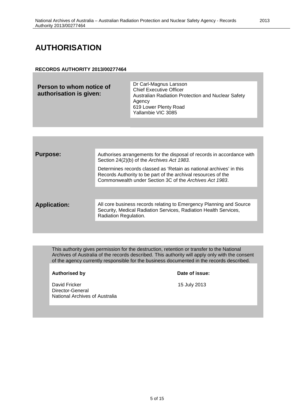#### <span id="page-4-0"></span>**AUTHORISATION**

#### **RECORDS AUTHORITY 2013/00277464**

| Person to whom notice of<br><b>Chief Executive Officer</b><br>authorisation is given:<br>Australian Radiation Protection and Nuclear Safety<br>Agency<br>619 Lower Plenty Road<br>Yallambie VIC 3085 | Dr Carl-Magnus Larsson |
|------------------------------------------------------------------------------------------------------------------------------------------------------------------------------------------------------|------------------------|
|------------------------------------------------------------------------------------------------------------------------------------------------------------------------------------------------------|------------------------|

| <b>Purpose:</b>     | Authorises arrangements for the disposal of records in accordance with<br>Section 24(2)(b) of the Archives Act 1983.                                                                            |
|---------------------|-------------------------------------------------------------------------------------------------------------------------------------------------------------------------------------------------|
|                     | Determines records classed as 'Retain as national archives' in this<br>Records Authority to be part of the archival resources of the<br>Commonwealth under Section 3C of the Archives Act 1983. |
|                     |                                                                                                                                                                                                 |
| <b>Application:</b> | All core business records relating to Emergency Planning and Source<br>Security, Medical Radiation Services, Radiation Health Services,<br>Radiation Regulation.                                |
|                     |                                                                                                                                                                                                 |

This authority gives permission for the destruction, retention or transfer to the National Archives of Australia of the records described. This authority will apply only with the consent of the agency currently responsible for the business documented in the records described.

#### **Authorised by Date of issue:**

David Fricker 15 July 2013 Director-General National Archives of Australia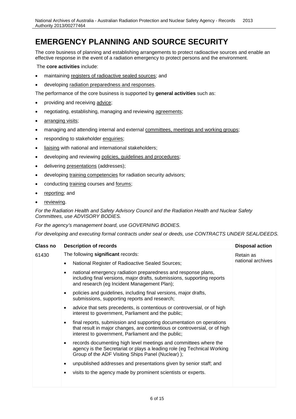#### <span id="page-5-0"></span>**EMERGENCY PLANNING AND SOURCE SECURITY**

The core business of planning and establishing arrangements to protect radioactive sources and enable an effective response in the event of a radiation emergency to protect persons and the environment.

The **core activities** include:

- maintaining registers of radioactive sealed sources; and
- developing radiation preparedness and responses.

The performance of the core business is supported by **general activities** such as:

- providing and receiving advice;
- negotiating, establishing, managing and reviewing agreements;
- arranging visits;
- managing and attending internal and external committees, meetings and working groups;
- responding to stakeholder enquiries;
- liaising with national and international stakeholders;
- developing and reviewing policies, guidelines and procedures;
- delivering presentations (addresses);
- developing training competencies for radiation security advisors;
- conducting training courses and forums;
- reporting; and
- reviewing.

*For the Radiation Health and Safety Advisory Council and the Radiation Health and Nuclear Safety Committees, use ADVISORY BODIES.*

*For the agency's management board, use GOVERNING BODIES.*

| Class no | <b>Description of records</b>                                                                                                                                                                                         | <b>Disposal action</b> |
|----------|-----------------------------------------------------------------------------------------------------------------------------------------------------------------------------------------------------------------------|------------------------|
| 61430    | The following significant records:                                                                                                                                                                                    | Retain as              |
|          | National Register of Radioactive Sealed Sources;                                                                                                                                                                      | national archives      |
|          | national emergency radiation preparedness and response plans,<br>$\bullet$<br>including final versions, major drafts, submissions, supporting reports<br>and research (eg Incident Management Plan);                  |                        |
|          | policies and guidelines, including final versions, major drafts,<br>submissions, supporting reports and research;                                                                                                     |                        |
|          | advice that sets precedents, is contentious or controversial, or of high<br>interest to government, Parliament and the public;                                                                                        |                        |
|          | final reports, submission and supporting documentation on operations<br>$\bullet$<br>that result in major changes, are contentious or controversial, or of high<br>interest to government, Parliament and the public; |                        |
|          | records documenting high level meetings and committees where the<br>agency is the Secretariat or plays a leading role (eg Technical Working<br>Group of the ADF Visiting Ships Panel (Nuclear) );                     |                        |
|          | unpublished addresses and presentations given by senior staff; and                                                                                                                                                    |                        |
|          | visits to the agency made by prominent scientists or experts.                                                                                                                                                         |                        |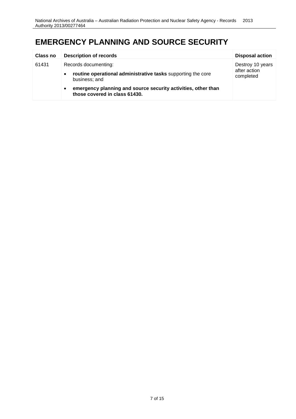#### **EMERGENCY PLANNING AND SOURCE SECURITY**

| <b>Class no</b> | <b>Description of records</b>                                                                               | <b>Disposal action</b>                        |
|-----------------|-------------------------------------------------------------------------------------------------------------|-----------------------------------------------|
| 61431           | Records documenting:                                                                                        | Destroy 10 years<br>after action<br>completed |
|                 | routine operational administrative tasks supporting the core<br>$\bullet$<br>business; and                  |                                               |
|                 | emergency planning and source security activities, other than<br>$\bullet$<br>those covered in class 61430. |                                               |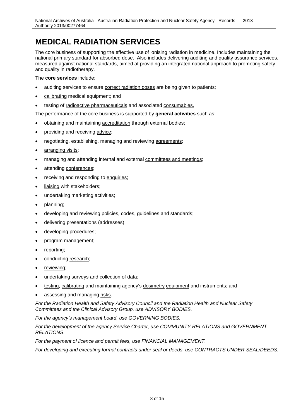## <span id="page-7-0"></span>**MEDICAL RADIATION SERVICES**

The core business of supporting the effective use of ionising radiation in medicine. Includes maintaining the national primary standard for absorbed dose. Also includes delivering auditing and quality assurance services, measured against national standards, aimed at providing an integrated national approach to promoting safety and quality in radiotherapy.

The **core services** include:

- auditing services to ensure correct radiation doses are being given to patients;
- calibrating medical equipment; and
- testing of radioactive pharmaceuticals and associated consumables.

The performance of the core business is supported by **general activities** such as:

- obtaining and maintaining accreditation through external bodies;
- providing and receiving advice;
- negotiating, establishing, managing and reviewing agreements;
- arranging visits;
- managing and attending internal and external committees and meetings;
- attending conferences;
- receiving and responding to enquiries;
- liaising with stakeholders;
- undertaking marketing activities;
- planning;
- developing and reviewing policies, codes, guidelines and standards;
- delivering presentations (addresses);
- developing procedures;
- program management;
- reporting;
- conducting research;
- reviewing;
- undertaking surveys and collection of data;
- testing, calibrating and maintaining agency's dosimetry equipment and instruments; and
- assessing and managing risks.

*For the Radiation Health and Safety Advisory Council and the Radiation Health and Nuclear Safety Committees and the Clinical Advisory Group, use ADVISORY BODIES.*

*For the agency's management board, use GOVERNING BODIES.*

*For the development of the agency Service Charter, use COMMUNITY RELATIONS and GOVERNMENT RELATIONS.*

*For the payment of licence and permit fees, use FINANCIAL MANAGEMENT.*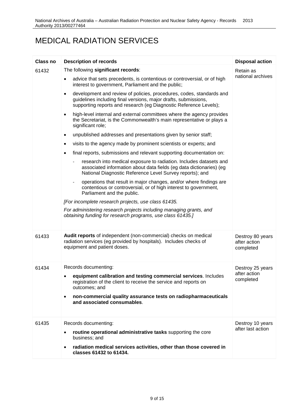## MEDICAL RADIATION SERVICES

| <b>Class no</b> | <b>Description of records</b>                                                                                                                                                                                             | <b>Disposal action</b>                        |
|-----------------|---------------------------------------------------------------------------------------------------------------------------------------------------------------------------------------------------------------------------|-----------------------------------------------|
| 61432           | The following significant records:                                                                                                                                                                                        | Retain as                                     |
|                 | advice that sets precedents, is contentious or controversial, or of high<br>interest to government, Parliament and the public;                                                                                            | national archives                             |
|                 | development and review of policies, procedures, codes, standards and<br>$\bullet$<br>guidelines including final versions, major drafts, submissions,<br>supporting reports and research (eg Diagnostic Reference Levels); |                                               |
|                 | high-level internal and external committees where the agency provides<br>the Secretariat, is the Commonwealth's main representative or plays a<br>significant role;                                                       |                                               |
|                 | unpublished addresses and presentations given by senior staff;<br>$\bullet$                                                                                                                                               |                                               |
|                 | visits to the agency made by prominent scientists or experts; and                                                                                                                                                         |                                               |
|                 | final reports, submissions and relevant supporting documentation on:<br>$\bullet$                                                                                                                                         |                                               |
|                 | research into medical exposure to radiation. Includes datasets and<br>associated information about data fields (eg data dictionaries) (eg<br>National Diagnostic Reference Level Survey reports); and                     |                                               |
|                 | operations that result in major changes, and/or where findings are<br>contentious or controversial, or of high interest to government,<br>Parliament and the public.                                                      |                                               |
|                 | [For incomplete research projects, use class 61435.                                                                                                                                                                       |                                               |
|                 | For administering research projects including managing grants, and<br>obtaining funding for research programs, use class 61435.]                                                                                          |                                               |
| 61433           | Audit reports of independent (non-commercial) checks on medical<br>radiation services (eg provided by hospitals). Includes checks of<br>equipment and patient doses.                                                      | Destroy 80 years<br>after action<br>completed |
| 61434           | Records documenting:                                                                                                                                                                                                      | Destroy 25 years                              |
|                 | equipment calibration and testing commercial services. Includes<br>registration of the client to receive the service and reports on<br>outcomes; and                                                                      | after action<br>completed                     |
|                 | non-commercial quality assurance tests on radiopharmaceuticals<br>and associated consumables.                                                                                                                             |                                               |
| 61435           | Records documenting:                                                                                                                                                                                                      | Destroy 10 years                              |
|                 | routine operational administrative tasks supporting the core<br>business; and                                                                                                                                             | after last action                             |
|                 | radiation medical services activities, other than those covered in<br>classes 61432 to 61434.                                                                                                                             |                                               |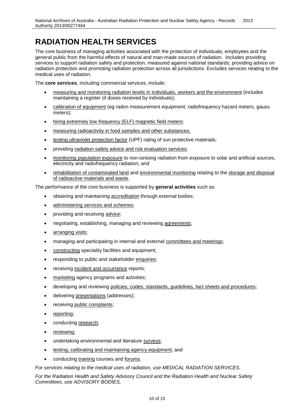## <span id="page-9-0"></span>**RADIATION HEALTH SERVICES**

The core business of managing activities associated with the protection of individuals, employees and the general public from the harmful effects of natural and man-made sources of radiation. Includes providing services to support radiation safety and protection, measured against national standards; providing advice on radiation protection and promoting radiation protection across all jurisdictions. Excludes services relating to the medical uses of radiation.

The **core services**, including commercial services, include:

- measuring and monitoring radiation levels in individuals, workers and the environment (includes maintaining a register of doses received by individuals);
- calibration of equipment (eg radon measurement equipment; radiofrequency hazard meters, gauss meters);
- hiring extremely low frequency (ELF) magnetic field meters;
- measuring radioactivity in food samples and other substances;
- testing ultraviolet protection factor (UPF) rating of sun protective materials;
- providing radiation safety advice and risk evaluation services;
- monitoring population exposure to non-ionising radiation from exposure to solar and artificial sources, electricity and radiofrequency radiation; and
- rehabilitation of contaminated land and environmental monitoring relating to the storage and disposal of radioactive materials and waste.

The performance of the core business is supported by **general activities** such as:

- obtaining and maintaining accreditation through external bodies;
- administering services and schemes;
- providing and receiving advice;
- negotiating, establishing, managing and reviewing agreements;
- arranging visits;
- managing and participating in internal and external committees and meetings;
- constructing speciality facilities and equipment;
- responding to public and stakeholder enquiries;
- receiving incident and occurrence reports;
- marketing agency programs and activities;
- developing and reviewing policies, codes, standards, guidelines, fact sheets and procedures;
- delivering presentations (addresses);
- receiving public complaints;
- reporting;
- conducting research;
- reviewing;
- undertaking environmental and literature surveys;
- testing, calibrating and maintaining agency equipment; and
- conducting training courses and forums.

*For services relating to the medical uses of radiation, use MEDICAL RADIATION SERVICES.*

*For the Radiation Health and Safety Advisory Council and the Radiation Health and Nuclear Safety Committees, use ADVISORY BODIES.*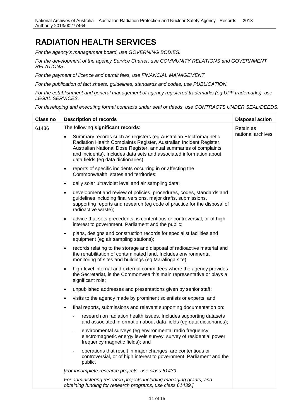#### **RADIATION HEALTH SERVICES**

*For the agency's management board, use GOVERNING BODIES.*

*For the development of the agency Service Charter, use COMMUNITY RELATIONS and GOVERNMENT RELATIONS.*

*For the payment of licence and permit fees, use FINANCIAL MANAGEMENT.*

*For the publication of fact sheets, guidelines, standards and codes, use PUBLICATION.*

*For the establishment and general management of agency registered trademarks (eg UPF trademarks), use LEGAL SERVICES.*

| <b>Class no</b> | <b>Description of records</b>                                                                                                                                                                                                                                                                                              | <b>Disposal action</b> |
|-----------------|----------------------------------------------------------------------------------------------------------------------------------------------------------------------------------------------------------------------------------------------------------------------------------------------------------------------------|------------------------|
| 61436           | The following significant records:                                                                                                                                                                                                                                                                                         | Retain as              |
|                 | Summary records such as registers (eg Australian Electromagnetic<br>Radiation Health Complaints Register, Australian Incident Register,<br>Australian National Dose Register, annual summaries of complaints<br>and incidents). Includes data sets and associated information about<br>data fields (eg data dictionaries); | national archives      |
|                 | reports of specific incidents occurring in or affecting the<br>$\bullet$<br>Commonwealth, states and territories;                                                                                                                                                                                                          |                        |
|                 | daily solar ultraviolet level and air sampling data;<br>$\bullet$                                                                                                                                                                                                                                                          |                        |
|                 | development and review of policies, procedures, codes, standards and<br>$\bullet$<br>guidelines including final versions, major drafts, submissions,<br>supporting reports and research (eg code of practice for the disposal of<br>radioactive waste);                                                                    |                        |
|                 | advice that sets precedents, is contentious or controversial, or of high<br>$\bullet$<br>interest to government, Parliament and the public;                                                                                                                                                                                |                        |
|                 | plans, designs and construction records for specialist facilities and<br>$\bullet$<br>equipment (eg air sampling stations);                                                                                                                                                                                                |                        |
|                 | records relating to the storage and disposal of radioactive material and<br>$\bullet$<br>the rehabilitation of contaminated land. Includes environmental<br>monitoring of sites and buildings (eg Maralinga site);                                                                                                         |                        |
|                 | high-level internal and external committees where the agency provides<br>$\bullet$<br>the Secretariat, is the Commonwealth's main representative or plays a<br>significant role;                                                                                                                                           |                        |
|                 | unpublished addresses and presentations given by senior staff;<br>$\bullet$                                                                                                                                                                                                                                                |                        |
|                 | visits to the agency made by prominent scientists or experts; and<br>٠                                                                                                                                                                                                                                                     |                        |
|                 | final reports, submissions and relevant supporting documentation on:<br>$\bullet$                                                                                                                                                                                                                                          |                        |
|                 | research on radiation health issues. Includes supporting datasets<br>and associated information about data fields (eg data dictionaries);                                                                                                                                                                                  |                        |
|                 | environmental surveys (eg environmental radio frequency<br>electromagnetic energy levels survey; survey of residential power<br>frequency magnetic fields); and                                                                                                                                                            |                        |
|                 | operations that result in major changes, are contentious or<br>$\overline{\phantom{a}}$<br>controversial, or of high interest to government, Parliament and the<br>public.                                                                                                                                                 |                        |
|                 | [For incomplete research projects, use class 61439.                                                                                                                                                                                                                                                                        |                        |
|                 | For administering research projects including managing grants, and<br>obtaining funding for research programs, use class 61439.]                                                                                                                                                                                           |                        |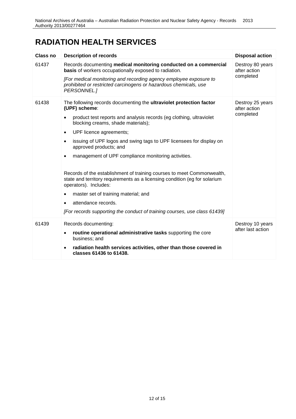#### **RADIATION HEALTH SERVICES**

| Class no | <b>Description of records</b>                                                                                                                                                 | <b>Disposal action</b>                        |
|----------|-------------------------------------------------------------------------------------------------------------------------------------------------------------------------------|-----------------------------------------------|
| 61437    | Records documenting medical monitoring conducted on a commercial<br>basis of workers occupationally exposed to radiation.                                                     | Destroy 80 years<br>after action              |
|          | [For medical monitoring and recording agency employee exposure to<br>prohibited or restricted carcinogens or hazardous chemicals, use<br>PERSONNEL.]                          | completed                                     |
| 61438    | The following records documenting the ultraviolet protection factor<br>(UPF) scheme:                                                                                          | Destroy 25 years<br>after action<br>completed |
|          | product test reports and analysis records (eg clothing, ultraviolet<br>blocking creams, shade materials);                                                                     |                                               |
|          | UPF licence agreements;<br>$\bullet$                                                                                                                                          |                                               |
|          | issuing of UPF logos and swing tags to UPF licensees for display on<br>$\bullet$<br>approved products; and                                                                    |                                               |
|          | management of UPF compliance monitoring activities.<br>$\bullet$                                                                                                              |                                               |
|          | Records of the establishment of training courses to meet Commonwealth,<br>state and territory requirements as a licensing condition (eg for solarium<br>operators). Includes: |                                               |
|          | master set of training material; and                                                                                                                                          |                                               |
|          | attendance records.<br>$\bullet$                                                                                                                                              |                                               |
|          | [For records supporting the conduct of training courses, use class 61439]                                                                                                     |                                               |
| 61439    | Records documenting:                                                                                                                                                          | Destroy 10 years                              |
|          | routine operational administrative tasks supporting the core<br>٠<br>business; and                                                                                            | after last action                             |
|          | radiation health services activities, other than those covered in<br>classes 61436 to 61438.                                                                                  |                                               |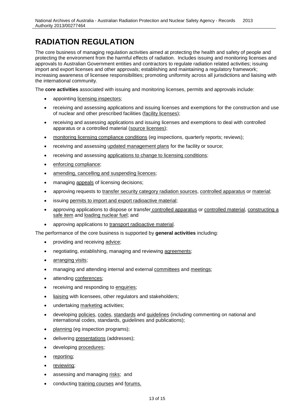## <span id="page-12-0"></span>**RADIATION REGULATION**

The core business of managing regulation activities aimed at protecting the health and safety of people and protecting the environment from the harmful effects of radiation. Includes issuing and monitoring licenses and approvals to Australian Government entities and contractors to regulate radiation related activities; issuing import and export licenses and other approvals; establishing and maintaining a regulatory framework; increasing awareness of licensee responsibilities; promoting uniformity across all jurisdictions and liaising with the international community.

The **core activities** associated with issuing and monitoring licenses, permits and approvals include:

- appointing licensing inspectors;
- receiving and assessing applications and issuing licenses and exemptions for the construction and use of nuclear and other prescribed facilities (facility licenses);
- receiving and assessing applications and issuing licenses and exemptions to deal with controlled apparatus or a controlled material (source licenses);
- monitoring licensing compliance conditions (eg inspections, quarterly reports; reviews);
- receiving and assessing updated management plans for the facility or source;
- receiving and assessing applications to change to licensing conditions;
- enforcing compliance;
- amending, cancelling and suspending licences;
- managing appeals of licensing decisions;
- approving requests to transfer security category radiation sources, controlled apparatus or material;
- issuing permits to import and export radioactive material;
- approving applications to dispose or transfer controlled apparatus or controlled material, constructing a safe item and loading nuclear fuel; and
- approving applications to transport radioactive material.

The performance of the core business is supported by **general activities** including:

- providing and receiving advice;
- negotiating, establishing, managing and reviewing agreements;
- arranging visits;
- managing and attending internal and external committees and meetings;
- attending conferences;
- receiving and responding to enquiries;
- liaising with licensees, other regulators and stakeholders;
- undertaking marketing activities;
- developing policies, codes, standards and guidelines (including commenting on national and international codes, standards, guidelines and publications);
- planning (eg inspection programs);
- delivering presentations (addresses);
- developing procedures;
- reporting;
- reviewing;
- assessing and managing risks; and
- conducting training courses and forums.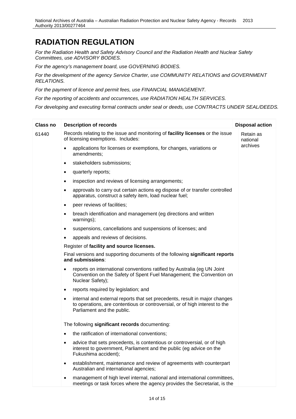#### **RADIATION REGULATION**

*For the Radiation Health and Safety Advisory Council and the Radiation Health and Nuclear Safety Committees, use ADVISORY BODIES.*

*For the agency's management board, use GOVERNING BODIES.*

*For the development of the agency Service Charter, use COMMUNITY RELATIONS and GOVERNMENT RELATIONS.*

*For the payment of licence and permit fees, use FINANCIAL MANAGEMENT.*

*For the reporting of accidents and occurrences, use RADIATION HEALTH SERVICES.*

| Class no | <b>Description of records</b>                                                                                                                                                                        | <b>Disposal action</b> |
|----------|------------------------------------------------------------------------------------------------------------------------------------------------------------------------------------------------------|------------------------|
| 61440    | Records relating to the issue and monitoring of facility licenses or the issue<br>of licensing exemptions. Includes:                                                                                 | Retain as<br>national  |
|          | applications for licenses or exemptions, for changes, variations or<br>amendments;                                                                                                                   | archives               |
|          | stakeholders submissions;<br>$\bullet$                                                                                                                                                               |                        |
|          | quarterly reports;<br>$\bullet$                                                                                                                                                                      |                        |
|          | inspection and reviews of licensing arrangements;<br>$\bullet$                                                                                                                                       |                        |
|          | approvals to carry out certain actions eg dispose of or transfer controlled<br>$\bullet$<br>apparatus, construct a safety item, load nuclear fuel;                                                   |                        |
|          | peer reviews of facilities;<br>$\bullet$                                                                                                                                                             |                        |
|          | breach identification and management (eg directions and written<br>$\bullet$<br>warnings);                                                                                                           |                        |
|          | suspensions, cancellations and suspensions of licenses; and<br>$\bullet$                                                                                                                             |                        |
|          | appeals and reviews of decisions.<br>$\bullet$                                                                                                                                                       |                        |
|          | Register of facility and source licenses.                                                                                                                                                            |                        |
|          | Final versions and supporting documents of the following significant reports<br>and submissions:                                                                                                     |                        |
|          | reports on international conventions ratified by Australia (eg UN Joint<br>$\bullet$<br>Convention on the Safety of Spent Fuel Management; the Convention on<br>Nuclear Safety);                     |                        |
|          | reports required by legislation; and<br>٠                                                                                                                                                            |                        |
|          | internal and external reports that set precedents, result in major changes<br>$\bullet$<br>to operations, are contentious or controversial, or of high interest to the<br>Parliament and the public. |                        |
|          | The following significant records documenting:                                                                                                                                                       |                        |
|          | the ratification of international conventions;                                                                                                                                                       |                        |
|          | advice that sets precedents, is contentious or controversial, or of high<br>interest to government, Parliament and the public (eg advice on the<br>Fukushima accident);                              |                        |
|          | establishment, maintenance and review of agreements with counterpart<br>$\bullet$<br>Australian and international agencies;                                                                          |                        |
|          | management of high level internal, national and international committees,<br>$\bullet$<br>meetings or task forces where the agency provides the Secretariat, is the                                  |                        |